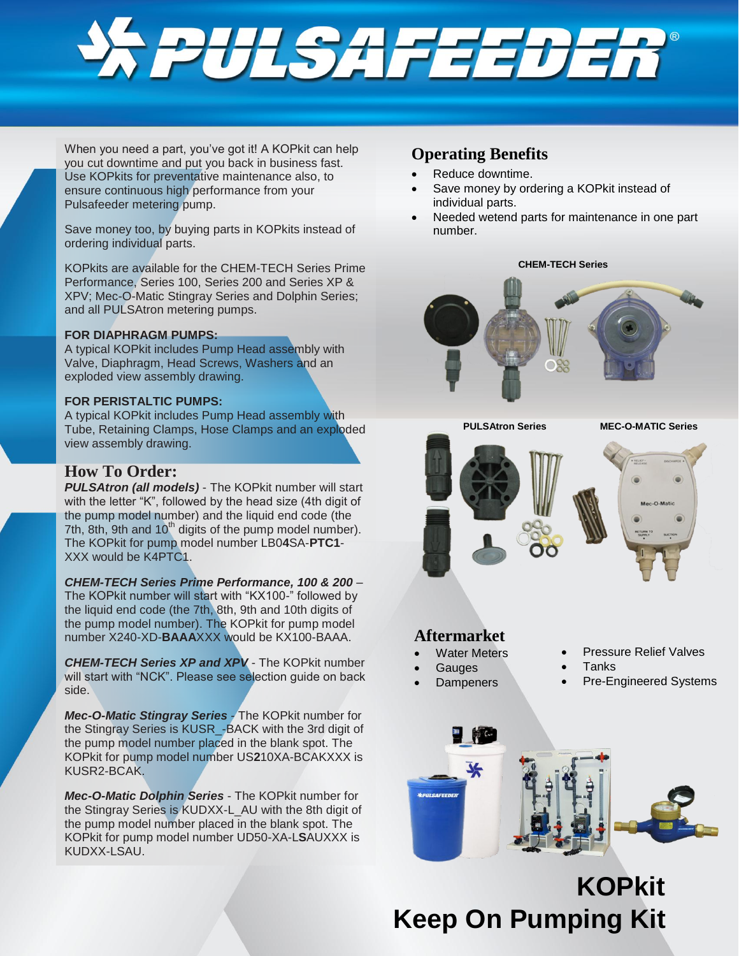

When you need a part, you've got it! A KOPkit can help you cut downtime and put you back in business fast. Use KOPkits for preventative maintenance also, to ensure continuous high performance from your Pulsafeeder metering pump.

Save money too, by buying parts in KOPkits instead of ordering individual parts.

KOPkits are available for the CHEM-TECH Series Prime Performance, Series 100, Series 200 and Series XP & XPV; Mec-O-Matic Stingray Series and Dolphin Series; and all PULSAtron metering pumps.

### **FOR DIAPHRAGM PUMPS:**

A typical KOPkit includes Pump Head assembly with Valve, Diaphragm, Head Screws, Washers and an exploded view assembly drawing.

### **FOR PERISTALTIC PUMPS:**

A typical KOPkit includes Pump Head assembly with Tube, Retaining Clamps, Hose Clamps and an exploded view assembly drawing.

# **How To Order:**

*PULSAtron (all models)* - The KOPkit number will start with the letter "K", followed by the head size (4th digit of the pump model number) and the liquid end code (the 7th, 8th, 9th and  $10<sup>th</sup>$  digits of the pump model number). The KOPkit for pump model number LB0**4**SA-**PTC1**- XXX would be K4PTC1.

*CHEM-TECH Series Prime Performance, 100 & 200* – The KOPkit number will start with "KX100-" followed by the liquid end code (the 7th, 8th, 9th and 10th digits of the pump model number). The KOPkit for pump model number X240-XD-**BAAA**XXX would be KX100-BAAA.

*CHEM-TECH Series XP and XPV* - The KOPkit number will start with "NCK". Please see selection guide on back side.

*Mec-O-Matic Stingray Series* - The KOPkit number for the Stingray Series is KUSR\_-BACK with the 3rd digit of the pump model number placed in the blank spot. The KOPkit for pump model number US**2**10XA-BCAKXXX is KUSR2-BCAK.

*Mec-O-Matic Dolphin Series* - The KOPkit number for the Stingray Series is KUDXX-L\_AU with the 8th digit of the pump model number placed in the blank spot. The KOPkit for pump model number UD50-XA-L**S**AUXXX is KUDXX-LSAU.

# **Operating Benefits**

- Reduce downtime.
- Save money by ordering a KOPkit instead of individual parts.
- Needed wetend parts for maintenance in one part number.





## **Aftermarket**

- Water Meters
	- **Gauges**
- **Dampeners**
- Pressure Relief Valves
- Tanks
	- Pre-Engineered Systems



**Keep On Pumping Kit KOPkit**